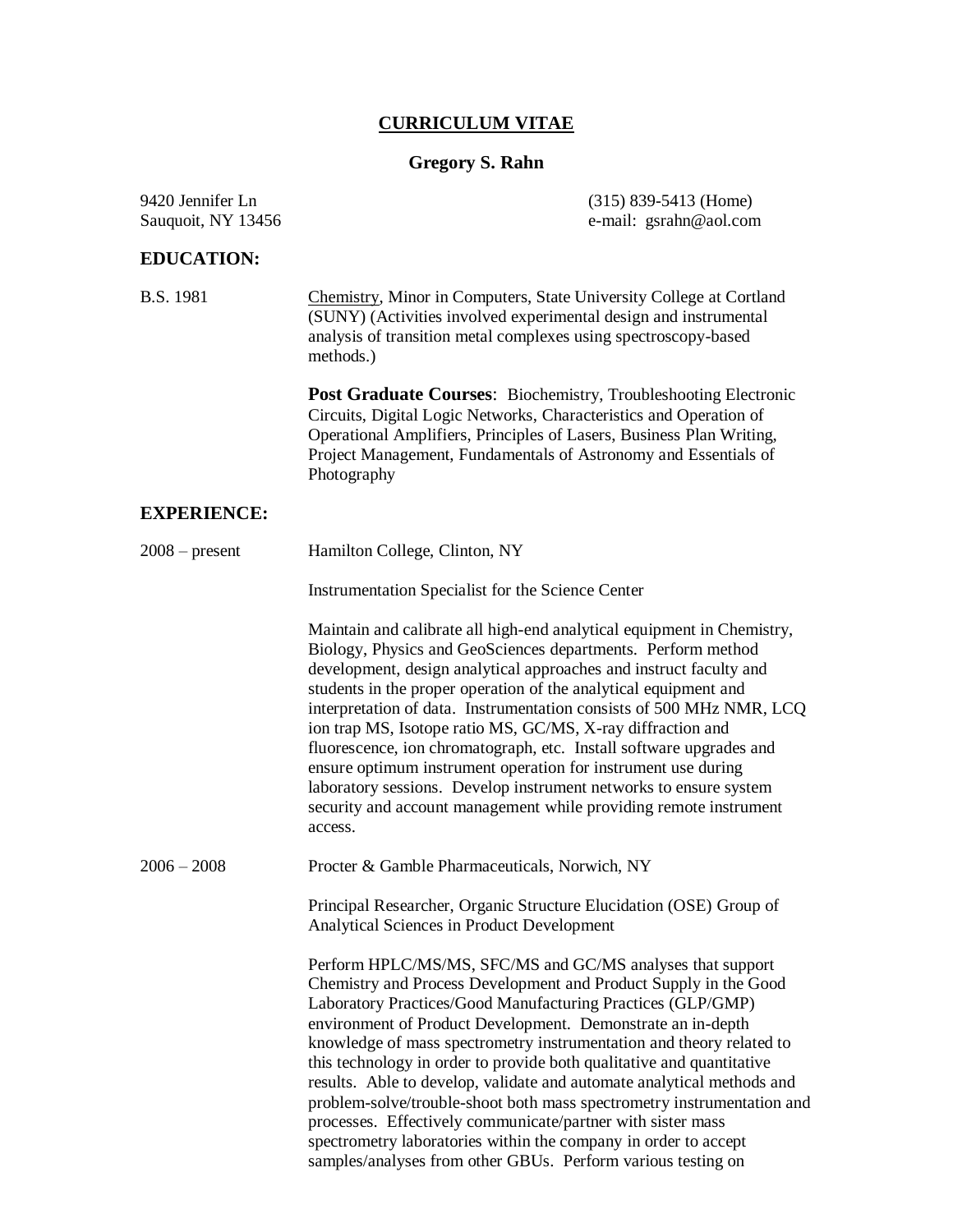#### **CURRICULUM VITAE**

## **Gregory S. Rahn**

### **EDUCATION:**

9420 Jennifer Ln (315) 839-5413 (Home) Sauquoit, NY 13456 e-mail: gsrahn@aol.com

B.S. 1981 Chemistry, Minor in Computers, State University College at Cortland (SUNY) (Activities involved experimental design and instrumental analysis of transition metal complexes using spectroscopy-based methods.)

> **Post Graduate Courses**: Biochemistry, Troubleshooting Electronic Circuits, Digital Logic Networks, Characteristics and Operation of Operational Amplifiers, Principles of Lasers, Business Plan Writing, Project Management, Fundamentals of Astronomy and Essentials of Photography

## **EXPERIENCE:**

| $2008$ – present | Hamilton College, Clinton, NY                                                                                                                                                                                                                                                                                                                                                                                                                                                                                                                                                                                                                                                                                                                                       |
|------------------|---------------------------------------------------------------------------------------------------------------------------------------------------------------------------------------------------------------------------------------------------------------------------------------------------------------------------------------------------------------------------------------------------------------------------------------------------------------------------------------------------------------------------------------------------------------------------------------------------------------------------------------------------------------------------------------------------------------------------------------------------------------------|
|                  | Instrumentation Specialist for the Science Center                                                                                                                                                                                                                                                                                                                                                                                                                                                                                                                                                                                                                                                                                                                   |
|                  | Maintain and calibrate all high-end analytical equipment in Chemistry,<br>Biology, Physics and GeoSciences departments. Perform method<br>development, design analytical approaches and instruct faculty and<br>students in the proper operation of the analytical equipment and<br>interpretation of data. Instrumentation consists of 500 MHz NMR, LCQ<br>ion trap MS, Isotope ratio MS, GC/MS, X-ray diffraction and<br>fluorescence, ion chromatograph, etc. Install software upgrades and<br>ensure optimum instrument operation for instrument use during<br>laboratory sessions. Develop instrument networks to ensure system<br>security and account management while providing remote instrument<br>access.                                                |
| $2006 - 2008$    | Procter & Gamble Pharmaceuticals, Norwich, NY                                                                                                                                                                                                                                                                                                                                                                                                                                                                                                                                                                                                                                                                                                                       |
|                  | Principal Researcher, Organic Structure Elucidation (OSE) Group of<br>Analytical Sciences in Product Development                                                                                                                                                                                                                                                                                                                                                                                                                                                                                                                                                                                                                                                    |
|                  | Perform HPLC/MS/MS, SFC/MS and GC/MS analyses that support<br>Chemistry and Process Development and Product Supply in the Good<br>Laboratory Practices/Good Manufacturing Practices (GLP/GMP)<br>environment of Product Development. Demonstrate an in-depth<br>knowledge of mass spectrometry instrumentation and theory related to<br>this technology in order to provide both qualitative and quantitative<br>results. Able to develop, validate and automate analytical methods and<br>problem-solve/trouble-shoot both mass spectrometry instrumentation and<br>processes. Effectively communicate/partner with sister mass<br>spectrometry laboratories within the company in order to accept<br>samples/analyses from other GBUs. Perform various testing on |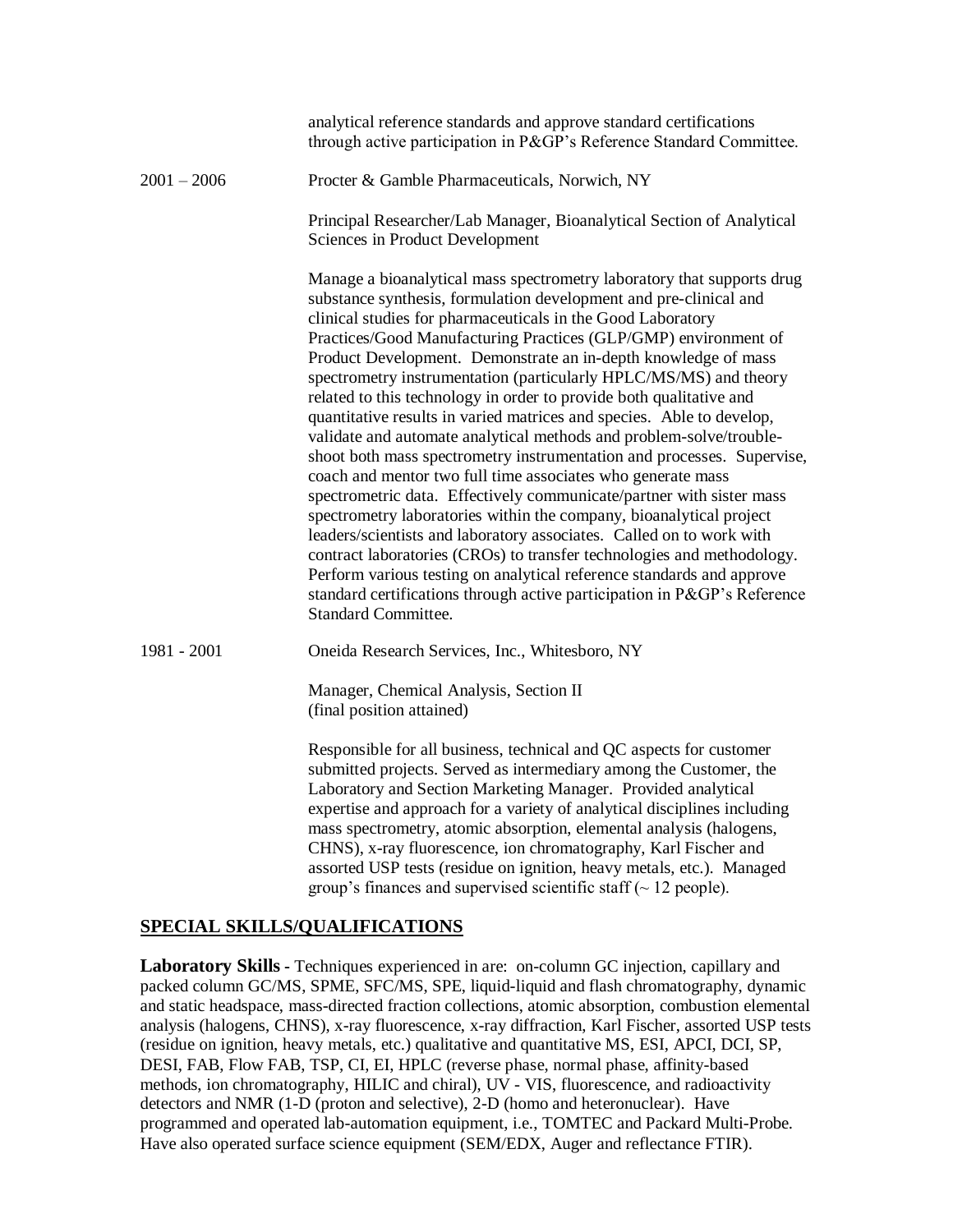|               | analytical reference standards and approve standard certifications<br>through active participation in P&GP's Reference Standard Committee.                                                                                                                                                                                                                                                                                                                                                                                                                                                                                                                                                                                                                                                                                                                                                                                                                                                                                                                                                                                                                                                                                                                               |
|---------------|--------------------------------------------------------------------------------------------------------------------------------------------------------------------------------------------------------------------------------------------------------------------------------------------------------------------------------------------------------------------------------------------------------------------------------------------------------------------------------------------------------------------------------------------------------------------------------------------------------------------------------------------------------------------------------------------------------------------------------------------------------------------------------------------------------------------------------------------------------------------------------------------------------------------------------------------------------------------------------------------------------------------------------------------------------------------------------------------------------------------------------------------------------------------------------------------------------------------------------------------------------------------------|
| $2001 - 2006$ | Procter & Gamble Pharmaceuticals, Norwich, NY                                                                                                                                                                                                                                                                                                                                                                                                                                                                                                                                                                                                                                                                                                                                                                                                                                                                                                                                                                                                                                                                                                                                                                                                                            |
|               | Principal Researcher/Lab Manager, Bioanalytical Section of Analytical<br>Sciences in Product Development                                                                                                                                                                                                                                                                                                                                                                                                                                                                                                                                                                                                                                                                                                                                                                                                                                                                                                                                                                                                                                                                                                                                                                 |
|               | Manage a bioanalytical mass spectrometry laboratory that supports drug<br>substance synthesis, formulation development and pre-clinical and<br>clinical studies for pharmaceuticals in the Good Laboratory<br>Practices/Good Manufacturing Practices (GLP/GMP) environment of<br>Product Development. Demonstrate an in-depth knowledge of mass<br>spectrometry instrumentation (particularly HPLC/MS/MS) and theory<br>related to this technology in order to provide both qualitative and<br>quantitative results in varied matrices and species. Able to develop,<br>validate and automate analytical methods and problem-solve/trouble-<br>shoot both mass spectrometry instrumentation and processes. Supervise,<br>coach and mentor two full time associates who generate mass<br>spectrometric data. Effectively communicate/partner with sister mass<br>spectrometry laboratories within the company, bioanalytical project<br>leaders/scientists and laboratory associates. Called on to work with<br>contract laboratories (CROs) to transfer technologies and methodology.<br>Perform various testing on analytical reference standards and approve<br>standard certifications through active participation in P&GP's Reference<br><b>Standard Committee.</b> |
| 1981 - 2001   | Oneida Research Services, Inc., Whitesboro, NY                                                                                                                                                                                                                                                                                                                                                                                                                                                                                                                                                                                                                                                                                                                                                                                                                                                                                                                                                                                                                                                                                                                                                                                                                           |
|               | Manager, Chemical Analysis, Section II<br>(final position attained)                                                                                                                                                                                                                                                                                                                                                                                                                                                                                                                                                                                                                                                                                                                                                                                                                                                                                                                                                                                                                                                                                                                                                                                                      |
|               | Responsible for all business, technical and QC aspects for customer<br>submitted projects. Served as intermediary among the Customer, the<br>Laboratory and Section Marketing Manager. Provided analytical<br>expertise and approach for a variety of analytical disciplines including<br>mass spectrometry, atomic absorption, elemental analysis (halogens,<br>CHNS), x-ray fluorescence, ion chromatography, Karl Fischer and<br>assorted USP tests (residue on ignition, heavy metals, etc.). Managed<br>group's finances and supervised scientific staff $\sim$ 12 people).                                                                                                                                                                                                                                                                                                                                                                                                                                                                                                                                                                                                                                                                                         |

#### **SPECIAL SKILLS/QUALIFICATIONS**

**Laboratory Skills -** Techniques experienced in are: on-column GC injection, capillary and packed column GC/MS, SPME, SFC/MS, SPE, liquid-liquid and flash chromatography, dynamic and static headspace, mass-directed fraction collections, atomic absorption, combustion elemental analysis (halogens, CHNS), x-ray fluorescence, x-ray diffraction, Karl Fischer, assorted USP tests (residue on ignition, heavy metals, etc.) qualitative and quantitative MS, ESI, APCI, DCI, SP, DESI, FAB, Flow FAB, TSP, CI, EI, HPLC (reverse phase, normal phase, affinity-based methods, ion chromatography, HILIC and chiral), UV - VIS, fluorescence, and radioactivity detectors and NMR (1-D (proton and selective), 2-D (homo and heteronuclear). Have programmed and operated lab-automation equipment, i.e., TOMTEC and Packard Multi-Probe. Have also operated surface science equipment (SEM/EDX, Auger and reflectance FTIR).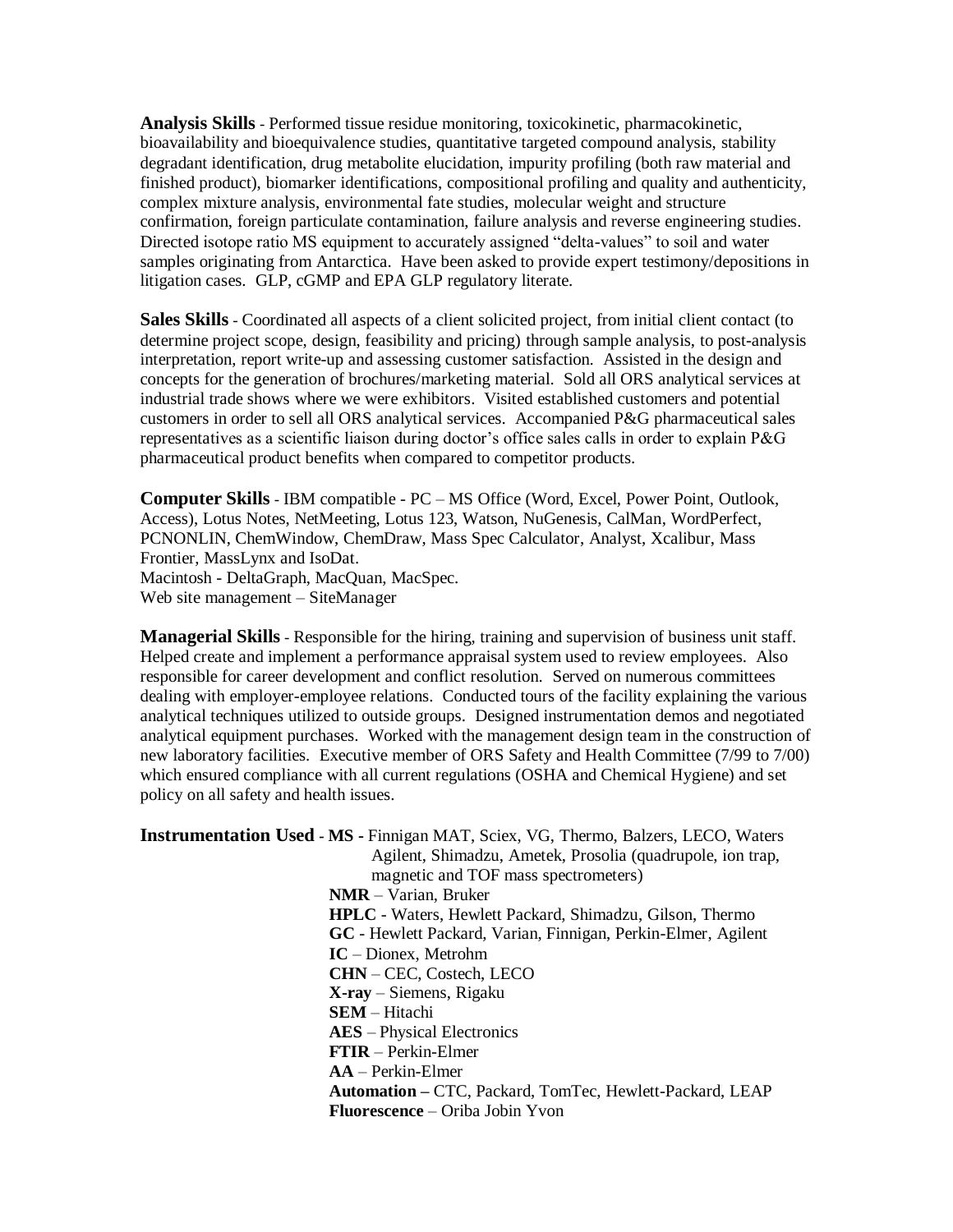**Analysis Skills** - Performed tissue residue monitoring, toxicokinetic, pharmacokinetic, bioavailability and bioequivalence studies, quantitative targeted compound analysis, stability degradant identification, drug metabolite elucidation, impurity profiling (both raw material and finished product), biomarker identifications, compositional profiling and quality and authenticity, complex mixture analysis, environmental fate studies, molecular weight and structure confirmation, foreign particulate contamination, failure analysis and reverse engineering studies. Directed isotope ratio MS equipment to accurately assigned "delta-values" to soil and water samples originating from Antarctica. Have been asked to provide expert testimony/depositions in litigation cases. GLP, cGMP and EPA GLP regulatory literate.

**Sales Skills** - Coordinated all aspects of a client solicited project, from initial client contact (to determine project scope, design, feasibility and pricing) through sample analysis, to post-analysis interpretation, report write-up and assessing customer satisfaction. Assisted in the design and concepts for the generation of brochures/marketing material. Sold all ORS analytical services at industrial trade shows where we were exhibitors. Visited established customers and potential customers in order to sell all ORS analytical services. Accompanied P&G pharmaceutical sales representatives as a scientific liaison during doctor's office sales calls in order to explain P&G pharmaceutical product benefits when compared to competitor products.

**Computer Skills** - IBM compatible - PC – MS Office (Word, Excel, Power Point, Outlook, Access), Lotus Notes, NetMeeting, Lotus 123, Watson, NuGenesis, CalMan, WordPerfect, PCNONLIN, ChemWindow, ChemDraw, Mass Spec Calculator, Analyst, Xcalibur, Mass Frontier, MassLynx and IsoDat. Macintosh - DeltaGraph, MacQuan, MacSpec. Web site management – SiteManager

**Managerial Skills** - Responsible for the hiring, training and supervision of business unit staff. Helped create and implement a performance appraisal system used to review employees. Also responsible for career development and conflict resolution. Served on numerous committees dealing with employer-employee relations. Conducted tours of the facility explaining the various analytical techniques utilized to outside groups. Designed instrumentation demos and negotiated analytical equipment purchases. Worked with the management design team in the construction of new laboratory facilities. Executive member of ORS Safety and Health Committee (7/99 to 7/00) which ensured compliance with all current regulations (OSHA and Chemical Hygiene) and set policy on all safety and health issues.

| <b>Instrumentation Used - MS - Finnigan MAT, Sciex, VG, Thermo, Balzers, LECO, Waters</b> |
|-------------------------------------------------------------------------------------------|
| Agilent, Shimadzu, Ametek, Prosolia (quadrupole, ion trap,                                |
| magnetic and TOF mass spectrometers)                                                      |
| $NMR - Varian$ , Bruker                                                                   |
| <b>HPLC</b> - Waters, Hewlett Packard, Shimadzu, Gilson, Thermo                           |
| GC - Hewlett Packard, Varian, Finnigan, Perkin-Elmer, Agilent                             |
| $IC$ – Dionex, Metrohm                                                                    |
| <b>CHN</b> – CEC, Costech, LECO                                                           |
| $X-ray - Siemens$ , Rigaku                                                                |
| $SEM - Hitachi$                                                                           |
| <b>AES</b> – Physical Electronics                                                         |
| $FTIR – Perkin-Elmer$                                                                     |
| $AA - Perkin-Elmer$                                                                       |
| Automation – CTC, Packard, TomTec, Hewlett-Packard, LEAP                                  |
| <b>Fluorescence – Oriba Jobin Yvon</b>                                                    |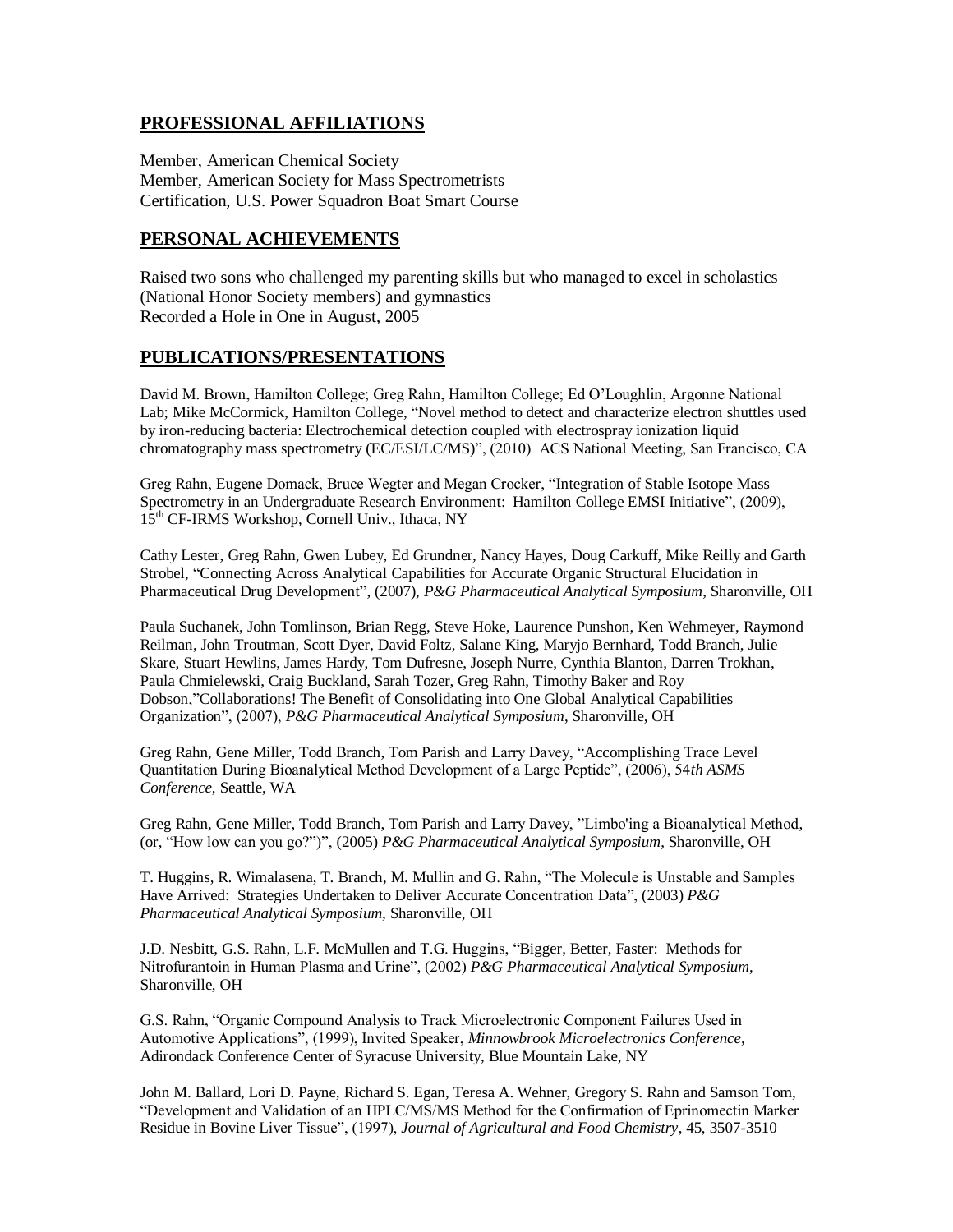# **PROFESSIONAL AFFILIATIONS**

Member, American Chemical Society Member, American Society for Mass Spectrometrists Certification, U.S. Power Squadron Boat Smart Course

### **PERSONAL ACHIEVEMENTS**

Raised two sons who challenged my parenting skills but who managed to excel in scholastics (National Honor Society members) and gymnastics Recorded a Hole in One in August, 2005

#### **PUBLICATIONS/PRESENTATIONS**

David M. Brown, Hamilton College; Greg Rahn, Hamilton College; Ed O'Loughlin, Argonne National Lab; Mike McCormick, Hamilton College, "Novel method to detect and characterize electron shuttles used by iron-reducing bacteria: Electrochemical detection coupled with electrospray ionization liquid chromatography mass spectrometry (EC/ESI/LC/MS)", (2010) ACS National Meeting, San Francisco, CA

Greg Rahn, Eugene Domack, Bruce Wegter and Megan Crocker, "Integration of Stable Isotope Mass Spectrometry in an Undergraduate Research Environment: Hamilton College EMSI Initiative", (2009), 15<sup>th</sup> CF-IRMS Workshop, Cornell Univ., Ithaca, NY

Cathy Lester, Greg Rahn, Gwen Lubey, Ed Grundner, Nancy Hayes, Doug Carkuff, Mike Reilly and Garth Strobel, "Connecting Across Analytical Capabilities for Accurate Organic Structural Elucidation in Pharmaceutical Drug Development", (2007), *P&G Pharmaceutical Analytical Symposium*, Sharonville, OH

Paula Suchanek, John Tomlinson, Brian Regg, Steve Hoke, Laurence Punshon, Ken Wehmeyer, Raymond Reilman, John Troutman, Scott Dyer, David Foltz, Salane King, Maryjo Bernhard, Todd Branch, Julie Skare, Stuart Hewlins, James Hardy, Tom Dufresne, Joseph Nurre, Cynthia Blanton, Darren Trokhan, Paula Chmielewski, Craig Buckland, Sarah Tozer, Greg Rahn, Timothy Baker and Roy Dobson,"Collaborations! The Benefit of Consolidating into One Global Analytical Capabilities Organization", (2007), *P&G Pharmaceutical Analytical Symposium*, Sharonville, OH

Greg Rahn, Gene Miller, Todd Branch, Tom Parish and Larry Davey, "Accomplishing Trace Level Quantitation During Bioanalytical Method Development of a Large Peptide", (2006), 54*th ASMS Conference*, Seattle, WA

Greg Rahn, Gene Miller, Todd Branch, Tom Parish and Larry Davey, "Limbo'ing a Bioanalytical Method, (or, "How low can you go?")", (2005) *P&G Pharmaceutical Analytical Symposium*, Sharonville, OH

T. Huggins, R. Wimalasena, T. Branch, M. Mullin and G. Rahn, "The Molecule is Unstable and Samples Have Arrived: Strategies Undertaken to Deliver Accurate Concentration Data", (2003) *P&G Pharmaceutical Analytical Symposium*, Sharonville, OH

J.D. Nesbitt, G.S. Rahn, L.F. McMullen and T.G. Huggins, "Bigger, Better, Faster: Methods for Nitrofurantoin in Human Plasma and Urine", (2002) *P&G Pharmaceutical Analytical Symposium*, Sharonville, OH

G.S. Rahn, "Organic Compound Analysis to Track Microelectronic Component Failures Used in Automotive Applications", (1999), Invited Speaker, *Minnowbrook Microelectronics Conference*, Adirondack Conference Center of Syracuse University, Blue Mountain Lake, NY

John M. Ballard, Lori D. Payne, Richard S. Egan, Teresa A. Wehner, Gregory S. Rahn and Samson Tom, "Development and Validation of an HPLC/MS/MS Method for the Confirmation of Eprinomectin Marker Residue in Bovine Liver Tissue", (1997), *Journal of Agricultural and Food Chemistry*, 45, 3507-3510